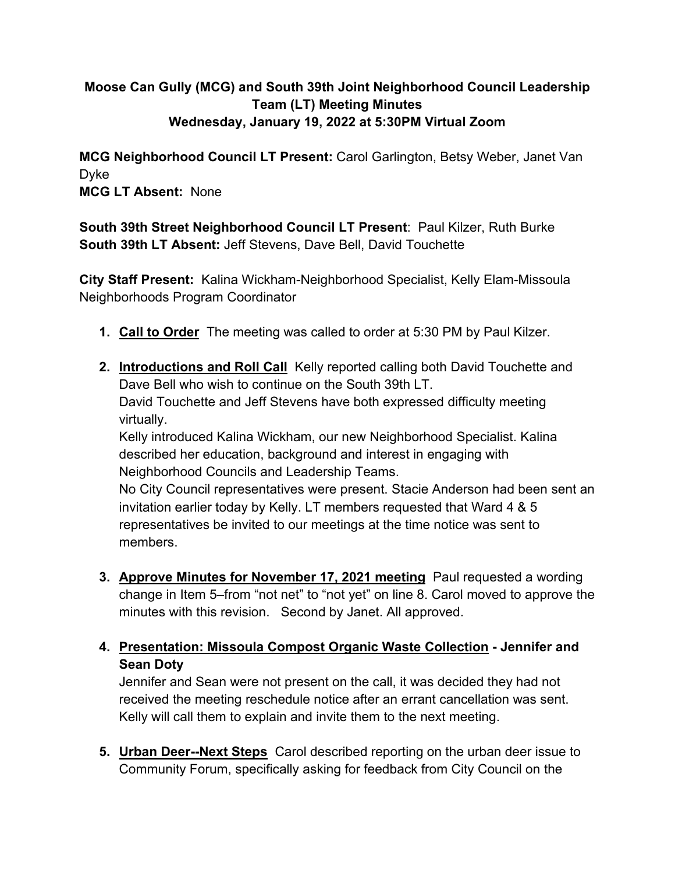# **Moose Can Gully (MCG) and South 39th Joint Neighborhood Council Leadership Team (LT) Meeting Minutes Wednesday, January 19, 2022 at 5:30PM Virtual Zoom**

**MCG Neighborhood Council LT Present:** Carol Garlington, Betsy Weber, Janet Van Dyke **MCG LT Absent:** None

**South 39th Street Neighborhood Council LT Present**: Paul Kilzer, Ruth Burke **South 39th LT Absent:** Jeff Stevens, Dave Bell, David Touchette

**City Staff Present:** Kalina Wickham-Neighborhood Specialist, Kelly Elam-Missoula Neighborhoods Program Coordinator

- **1. Call to Order** The meeting was called to order at 5:30 PM by Paul Kilzer.
- **2. Introductions and Roll Call** Kelly reported calling both David Touchette and Dave Bell who wish to continue on the South 39th LT. David Touchette and Jeff Stevens have both expressed difficulty meeting virtually. Kelly introduced Kalina Wickham, our new Neighborhood Specialist. Kalina

described her education, background and interest in engaging with Neighborhood Councils and Leadership Teams.

No City Council representatives were present. Stacie Anderson had been sent an invitation earlier today by Kelly. LT members requested that Ward 4 & 5 representatives be invited to our meetings at the time notice was sent to members.

**3. Approve Minutes for November 17, 2021 meeting** Paul requested a wording change in Item 5–from "not net" to "not yet" on line 8. Carol moved to approve the minutes with this revision. Second by Janet. All approved.

## **4. Presentation: Missoula Compost Organic Waste Collection - Jennifer and Sean Doty**

Jennifer and Sean were not present on the call, it was decided they had not received the meeting reschedule notice after an errant cancellation was sent. Kelly will call them to explain and invite them to the next meeting.

**5. Urban Deer--Next Steps** Carol described reporting on the urban deer issue to Community Forum, specifically asking for feedback from City Council on the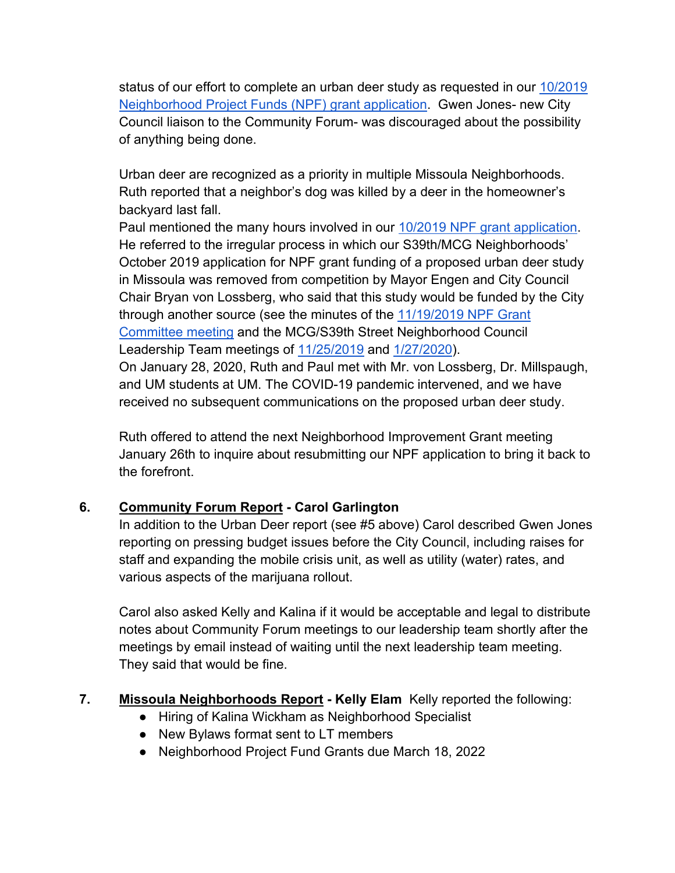status of our effort to complete an urban deer study as requested in our [10/2019](https://www.ci.missoula.mt.us/DocumentCenter/View/52533/Deer-Study)  [Neighborhood Project Funds \(NPF\) grant application.](https://www.ci.missoula.mt.us/DocumentCenter/View/52533/Deer-Study) Gwen Jones- new City Council liaison to the Community Forum- was discouraged about the possibility of anything being done.

Urban deer are recognized as a priority in multiple Missoula Neighborhoods. Ruth reported that a neighbor's dog was killed by a deer in the homeowner's backyard last fall.

Paul mentioned the many hours involved in our [10/2019 NPF grant application.](https://www.ci.missoula.mt.us/DocumentCenter/View/52533/Deer-Study) He referred to the irregular process in which our S39th/MCG Neighborhoods' October 2019 application for NPF grant funding of a proposed urban deer study in Missoula was removed from competition by Mayor Engen and City Council Chair Bryan von Lossberg, who said that this study would be funded by the City through another source (see the minutes of the 11/19/2019 NPF Grant [Committee meeting](https://www.ci.missoula.mt.us/ArchiveCenter/ViewFile/Item/14641) and the MCG/S39th Street Neighborhood Council Leadership Team meetings of [11/25/2019](https://www.ci.missoula.mt.us/ArchiveCenter/ViewFile/Item/14882) and [1/27/2020\)](https://www.ci.missoula.mt.us/ArchiveCenter/ViewFile/Item/14902). On January 28, 2020, Ruth and Paul met with Mr. von Lossberg, Dr. Millspaugh, and UM students at UM. The COVID-19 pandemic intervened, and we have received no subsequent communications on the proposed urban deer study.

Ruth offered to attend the next Neighborhood Improvement Grant meeting January 26th to inquire about resubmitting our NPF application to bring it back to the forefront.

# **6. Community Forum Report - Carol Garlington**

In addition to the Urban Deer report (see #5 above) Carol described Gwen Jones reporting on pressing budget issues before the City Council, including raises for staff and expanding the mobile crisis unit, as well as utility (water) rates, and various aspects of the marijuana rollout.

Carol also asked Kelly and Kalina if it would be acceptable and legal to distribute notes about Community Forum meetings to our leadership team shortly after the meetings by email instead of waiting until the next leadership team meeting. They said that would be fine.

## **7. Missoula Neighborhoods Report - Kelly Elam** Kelly reported the following:

- Hiring of Kalina Wickham as Neighborhood Specialist
- New Bylaws format sent to LT members
- Neighborhood Project Fund Grants due March 18, 2022